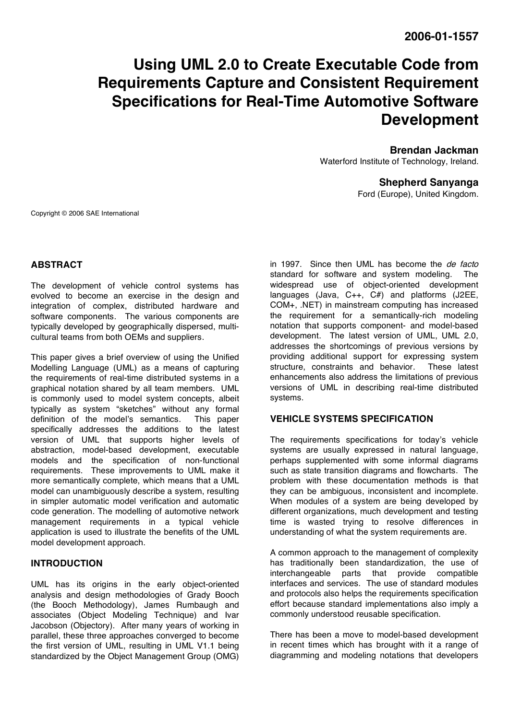# **Using UML 2.0 to Create Executable Code from Requirements Capture and Consistent Requirement Specifications for Real-Time Automotive Software Development**

# **Brendan Jackman**

Waterford Institute of Technology, Ireland.

## **Shepherd Sanyanga**

Ford (Europe), United Kingdom.

Copyright © 2006 SAE International

# **ABSTRACT**

The development of vehicle control systems has evolved to become an exercise in the design and integration of complex, distributed hardware and software components. The various components are typically developed by geographically dispersed, multicultural teams from both OEMs and suppliers.

This paper gives a brief overview of using the Unified Modelling Language (UML) as a means of capturing the requirements of real-time distributed systems in a graphical notation shared by all team members. UML is commonly used to model system concepts, albeit typically as system "sketches" without any formal definition of the model's semantics. This paper specifically addresses the additions to the latest version of UML that supports higher levels of abstraction, model-based development, executable models and the specification of non-functional requirements. These improvements to UML make it more semantically complete, which means that a UML model can unambiguously describe a system, resulting in simpler automatic model verification and automatic code generation. The modelling of automotive network management requirements in a typical vehicle application is used to illustrate the benefits of the UML model development approach.

# **INTRODUCTION**

UML has its origins in the early object-oriented analysis and design methodologies of Grady Booch (the Booch Methodology), James Rumbaugh and associates (Object Modeling Technique) and Ivar Jacobson (Objectory). After many years of working in parallel, these three approaches converged to become the first version of UML, resulting in UML V1.1 being standardized by the Object Management Group (OMG) in 1997. Since then UML has become the de facto standard for software and system modeling. The widespread use of object-oriented development languages (Java, C++, C#) and platforms (J2EE, COM+, .NET) in mainstream computing has increased the requirement for a semantically-rich modeling notation that supports component- and model-based development. The latest version of UML, UML 2.0, addresses the shortcomings of previous versions by providing additional support for expressing system structure, constraints and behavior. These latest enhancements also address the limitations of previous versions of UML in describing real-time distributed systems.

## **VEHICLE SYSTEMS SPECIFICATION**

The requirements specifications for today's vehicle systems are usually expressed in natural language, perhaps supplemented with some informal diagrams such as state transition diagrams and flowcharts. The problem with these documentation methods is that they can be ambiguous, inconsistent and incomplete. When modules of a system are being developed by different organizations, much development and testing time is wasted trying to resolve differences in understanding of what the system requirements are.

A common approach to the management of complexity has traditionally been standardization, the use of interchangeable parts that provide compatible interfaces and services. The use of standard modules and protocols also helps the requirements specification effort because standard implementations also imply a commonly understood reusable specification.

There has been a move to model-based development in recent times which has brought with it a range of diagramming and modeling notations that developers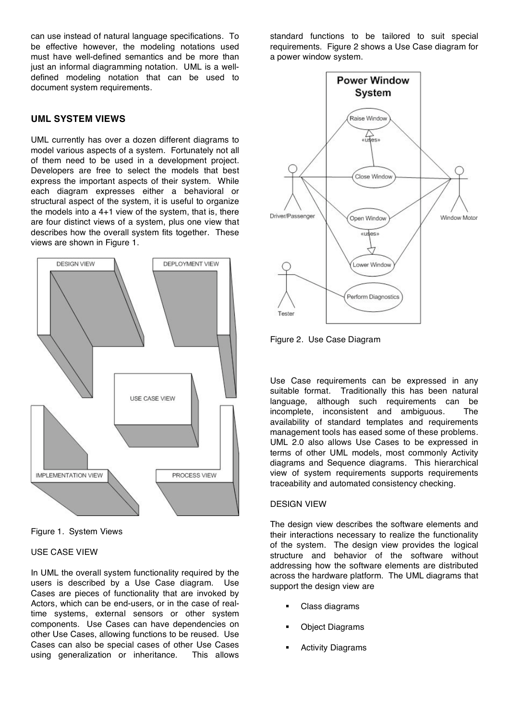can use instead of natural language specifications. To be effective however, the modeling notations used must have well-defined semantics and be more than just an informal diagramming notation. UML is a welldefined modeling notation that can be used to document system requirements.

# **UML SYSTEM VIEWS**

UML currently has over a dozen different diagrams to model various aspects of a system. Fortunately not all of them need to be used in a development project. Developers are free to select the models that best express the important aspects of their system. While each diagram expresses either a behavioral or structural aspect of the system, it is useful to organize the models into a 4+1 view of the system, that is, there are four distinct views of a system, plus one view that describes how the overall system fits together. These views are shown in Figure 1.



Figure 1. System Views

#### USE CASE VIEW

In UML the overall system functionality required by the users is described by a Use Case diagram. Use Cases are pieces of functionality that are invoked by Actors, which can be end-users, or in the case of realtime systems, external sensors or other system components. Use Cases can have dependencies on other Use Cases, allowing functions to be reused. Use Cases can also be special cases of other Use Cases using generalization or inheritance. This allows

standard functions to be tailored to suit special requirements. Figure 2 shows a Use Case diagram for a power window system.



Figure 2. Use Case Diagram

Use Case requirements can be expressed in any suitable format. Traditionally this has been natural language, although such requirements can be incomplete, inconsistent and ambiguous. The availability of standard templates and requirements management tools has eased some of these problems. UML 2.0 also allows Use Cases to be expressed in terms of other UML models, most commonly Activity diagrams and Sequence diagrams. This hierarchical view of system requirements supports requirements traceability and automated consistency checking.

#### DESIGN VIEW

The design view describes the software elements and their interactions necessary to realize the functionality of the system. The design view provides the logical structure and behavior of the software without addressing how the software elements are distributed across the hardware platform. The UML diagrams that support the design view are

- Class diagrams
- Object Diagrams
- Activity Diagrams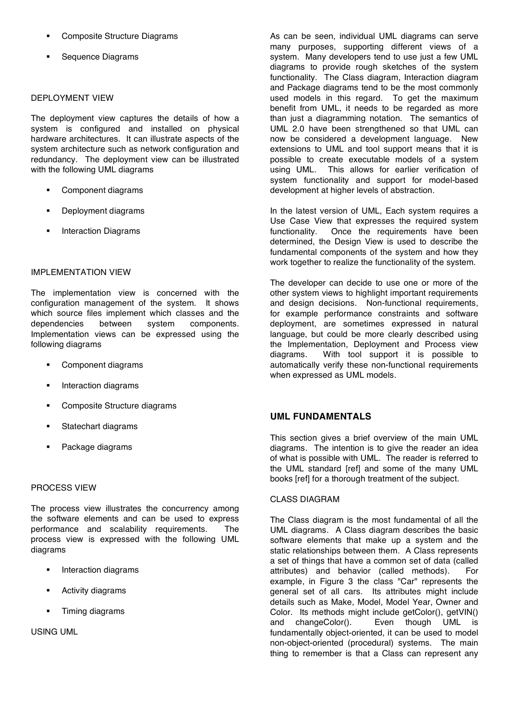- Composite Structure Diagrams
- Sequence Diagrams

#### DEPLOYMENT VIEW

The deployment view captures the details of how a system is configured and installed on physical hardware architectures. It can illustrate aspects of the system architecture such as network configuration and redundancy. The deployment view can be illustrated with the following UML diagrams

- Component diagrams
- Deployment diagrams
- Interaction Diagrams

#### IMPI EMENTATION VIEW

The implementation view is concerned with the configuration management of the system. It shows which source files implement which classes and the dependencies between system components. Implementation views can be expressed using the following diagrams

- Component diagrams
- **Interaction diagrams**
- Composite Structure diagrams
- Statechart diagrams
- Package diagrams

## PROCESS VIEW

The process view illustrates the concurrency among the software elements and can be used to express performance and scalability requirements. The process view is expressed with the following UML diagrams

- Interaction diagrams
- Activity diagrams
- Timing diagrams

USING UML

As can be seen, individual UML diagrams can serve many purposes, supporting different views of a system. Many developers tend to use just a few UML diagrams to provide rough sketches of the system functionality. The Class diagram, Interaction diagram and Package diagrams tend to be the most commonly used models in this regard. To get the maximum benefit from UML, it needs to be regarded as more than just a diagramming notation. The semantics of UML 2.0 have been strengthened so that UML can now be considered a development language. New extensions to UML and tool support means that it is possible to create executable models of a system using UML. This allows for earlier verification of system functionality and support for model-based development at higher levels of abstraction.

In the latest version of UML, Each system requires a Use Case View that expresses the required system functionality. Once the requirements have been determined, the Design View is used to describe the fundamental components of the system and how they work together to realize the functionality of the system.

The developer can decide to use one or more of the other system views to highlight important requirements and design decisions. Non-functional requirements, for example performance constraints and software deployment, are sometimes expressed in natural language, but could be more clearly described using the Implementation, Deployment and Process view diagrams. With tool support it is possible to automatically verify these non-functional requirements when expressed as UML models.

# **UML FUNDAMENTALS**

This section gives a brief overview of the main UML diagrams. The intention is to give the reader an idea of what is possible with UML. The reader is referred to the UML standard [ref] and some of the many UML books [ref] for a thorough treatment of the subject.

## CLASS DIAGRAM

The Class diagram is the most fundamental of all the UML diagrams. A Class diagram describes the basic software elements that make up a system and the static relationships between them. A Class represents a set of things that have a common set of data (called attributes) and behavior (called methods). For example, in Figure 3 the class "Car" represents the general set of all cars. Its attributes might include details such as Make, Model, Model Year, Owner and Color. Its methods might include getColor(), getVIN() and changeColor(). Even though UML is fundamentally object-oriented, it can be used to model non-object-oriented (procedural) systems. The main thing to remember is that a Class can represent any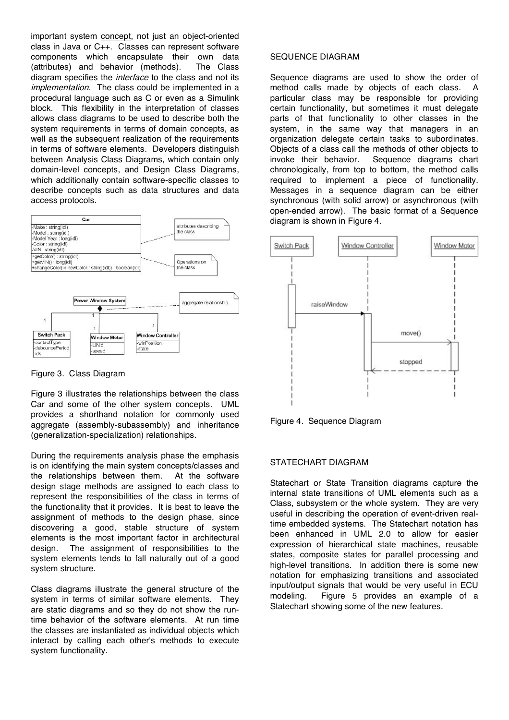important system concept, not just an object-oriented class in Java or C++. Classes can represent software components which encapsulate their own data (attributes) and behavior (methods). The Class diagram specifies the interface to the class and not its implementation. The class could be implemented in a procedural language such as C or even as a Simulink block. This flexibility in the interpretation of classes allows class diagrams to be used to describe both the system requirements in terms of domain concepts, as well as the subsequent realization of the requirements in terms of software elements. Developers distinguish between Analysis Class Diagrams, which contain only domain-level concepts, and Design Class Diagrams, which additionally contain software-specific classes to describe concepts such as data structures and data access protocols.



#### Figure 3. Class Diagram

Figure 3 illustrates the relationships between the class Car and some of the other system concepts. UML provides a shorthand notation for commonly used aggregate (assembly-subassembly) and inheritance (generalization-specialization) relationships.

During the requirements analysis phase the emphasis is on identifying the main system concepts/classes and the relationships between them. At the software design stage methods are assigned to each class to represent the responsibilities of the class in terms of the functionality that it provides. It is best to leave the assignment of methods to the design phase, since discovering a good, stable structure of system elements is the most important factor in architectural design. The assignment of responsibilities to the system elements tends to fall naturally out of a good system structure.

Class diagrams illustrate the general structure of the system in terms of similar software elements. They are static diagrams and so they do not show the runtime behavior of the software elements. At run time the classes are instantiated as individual objects which interact by calling each other's methods to execute system functionality.

### SEQUENCE DIAGRAM

Sequence diagrams are used to show the order of method calls made by objects of each class. A particular class may be responsible for providing certain functionality, but sometimes it must delegate parts of that functionality to other classes in the system, in the same way that managers in an organization delegate certain tasks to subordinates. Objects of a class call the methods of other objects to invoke their behavior. Sequence diagrams chart chronologically, from top to bottom, the method calls required to implement a piece of functionality. Messages in a sequence diagram can be either synchronous (with solid arrow) or asynchronous (with open-ended arrow). The basic format of a Sequence diagram is shown in Figure 4.



Figure 4. Sequence Diagram

#### STATECHART DIAGRAM

Statechart or State Transition diagrams capture the internal state transitions of UML elements such as a Class, subsystem or the whole system. They are very useful in describing the operation of event-driven realtime embedded systems. The Statechart notation has been enhanced in UML 2.0 to allow for easier expression of hierarchical state machines, reusable states, composite states for parallel processing and high-level transitions. In addition there is some new notation for emphasizing transitions and associated input/output signals that would be very useful in ECU modeling. Figure 5 provides an example of a Statechart showing some of the new features.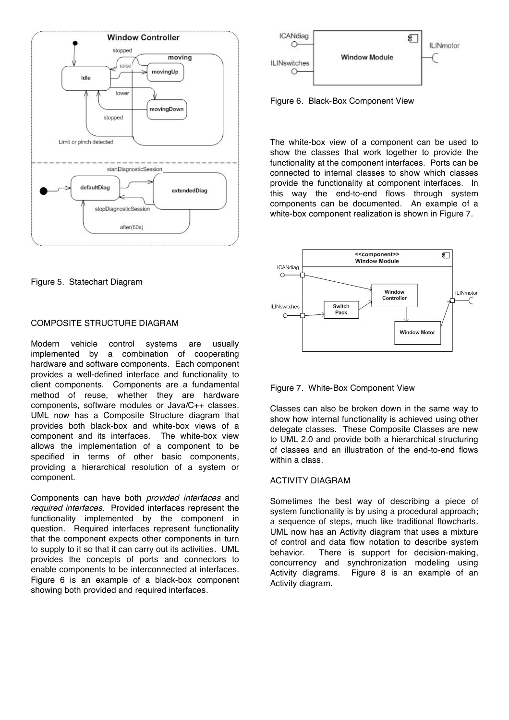

Figure 5. Statechart Diagram

### COMPOSITE STRUCTURE DIAGRAM

Modern vehicle control systems are usually implemented by a combination of cooperating hardware and software components. Each component provides a well-defined interface and functionality to client components. Components are a fundamental method of reuse, whether they are hardware components, software modules or Java/C++ classes. UML now has a Composite Structure diagram that provides both black-box and white-box views of a component and its interfaces. The white-box view allows the implementation of a component to be specified in terms of other basic components, providing a hierarchical resolution of a system or component.

Components can have both provided interfaces and required interfaces. Provided interfaces represent the functionality implemented by the component in question. Required interfaces represent functionality that the component expects other components in turn to supply to it so that it can carry out its activities. UML provides the concepts of ports and connectors to enable components to be interconnected at interfaces. Figure 6 is an example of a black-box component showing both provided and required interfaces.



Figure 6. Black-Box Component View

The white-box view of a component can be used to show the classes that work together to provide the functionality at the component interfaces. Ports can be connected to internal classes to show which classes provide the functionality at component interfaces. In this way the end-to-end flows through system components can be documented. An example of a white-box component realization is shown in Figure 7.





Classes can also be broken down in the same way to show how internal functionality is achieved using other delegate classes. These Composite Classes are new to UML 2.0 and provide both a hierarchical structuring of classes and an illustration of the end-to-end flows within a class.

#### ACTIVITY DIAGRAM

Sometimes the best way of describing a piece of system functionality is by using a procedural approach; a sequence of steps, much like traditional flowcharts. UML now has an Activity diagram that uses a mixture of control and data flow notation to describe system behavior. There is support for decision-making,<br>concurrency and synchronization modeling using synchronization modeling using Activity diagrams. Figure 8 is an example of an Activity diagram.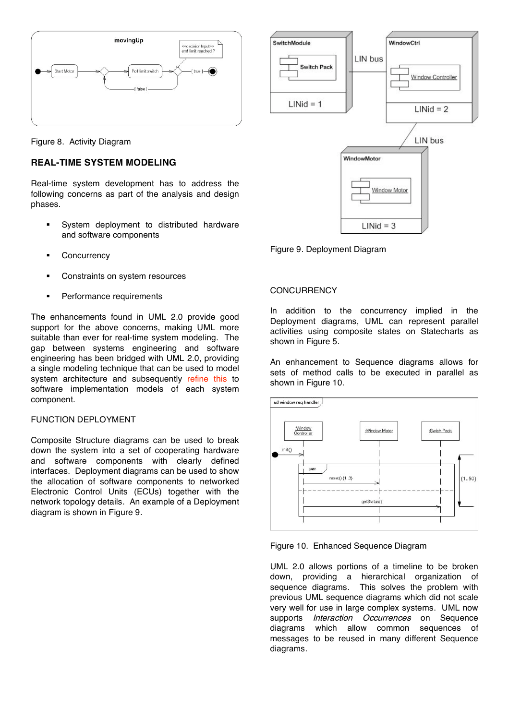

Figure 8. Activity Diagram

## **REAL-TIME SYSTEM MODELING**

Real-time system development has to address the following concerns as part of the analysis and design phases.

- System deployment to distributed hardware and software components
- **Concurrency**
- Constraints on system resources
- Performance requirements

The enhancements found in UML 2.0 provide good support for the above concerns, making UML more suitable than ever for real-time system modeling. The gap between systems engineering and software engineering has been bridged with UML 2.0, providing a single modeling technique that can be used to model system architecture and subsequently refine this to software implementation models of each system component.

## FUNCTION DEPLOYMENT

Composite Structure diagrams can be used to break down the system into a set of cooperating hardware and software components with clearly defined interfaces. Deployment diagrams can be used to show the allocation of software components to networked Electronic Control Units (ECUs) together with the network topology details. An example of a Deployment diagram is shown in Figure 9.



Figure 9. Deployment Diagram

## **CONCURRENCY**

In addition to the concurrency implied in the Deployment diagrams, UML can represent parallel activities using composite states on Statecharts as shown in Figure 5.

An enhancement to Sequence diagrams allows for sets of method calls to be executed in parallel as shown in Figure 10.



Figure 10. Enhanced Sequence Diagram

UML 2.0 allows portions of a timeline to be broken down, providing a hierarchical organization of sequence diagrams. This solves the problem with previous UML sequence diagrams which did not scale very well for use in large complex systems. UML now supports *Interaction Occurrences* on Sequence diagrams which allow common sequences of messages to be reused in many different Sequence diagrams.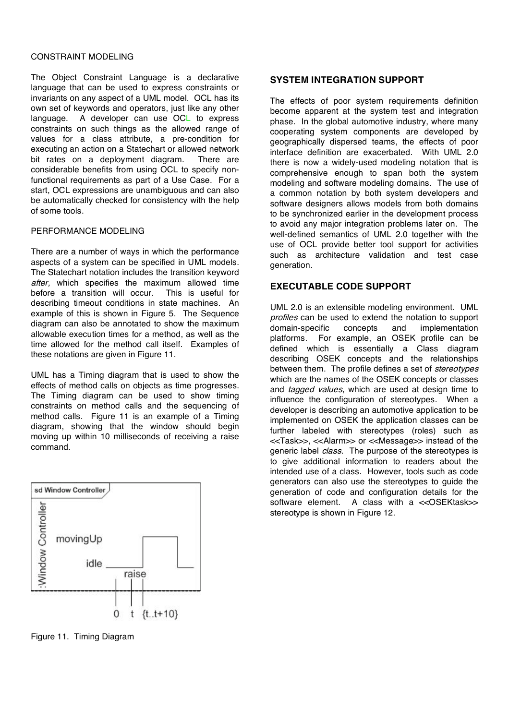#### CONSTRAINT MODELING

The Object Constraint Language is a declarative language that can be used to express constraints or invariants on any aspect of a UML model. OCL has its own set of keywords and operators, just like any other language. A developer can use OCL to express constraints on such things as the allowed range of values for a class attribute, a pre-condition for executing an action on a Statechart or allowed network bit rates on a deployment diagram. There are considerable benefits from using OCL to specify nonfunctional requirements as part of a Use Case. For a start, OCL expressions are unambiguous and can also be automatically checked for consistency with the help of some tools.

### PERFORMANCE MODELING

There are a number of ways in which the performance aspects of a system can be specified in UML models. The Statechart notation includes the transition keyword after, which specifies the maximum allowed time before a transition will occur. This is useful for describing timeout conditions in state machines. An example of this is shown in Figure 5. The Sequence diagram can also be annotated to show the maximum allowable execution times for a method, as well as the time allowed for the method call itself. Examples of these notations are given in Figure 11.

UML has a Timing diagram that is used to show the effects of method calls on objects as time progresses. The Timing diagram can be used to show timing constraints on method calls and the sequencing of method calls. Figure 11 is an example of a Timing diagram, showing that the window should begin moving up within 10 milliseconds of receiving a raise command.



#### Figure 11. Timing Diagram

## **SYSTEM INTEGRATION SUPPORT**

The effects of poor system requirements definition become apparent at the system test and integration phase. In the global automotive industry, where many cooperating system components are developed by geographically dispersed teams, the effects of poor interface definition are exacerbated. With UML 2.0 there is now a widely-used modeling notation that is comprehensive enough to span both the system modeling and software modeling domains. The use of a common notation by both system developers and software designers allows models from both domains to be synchronized earlier in the development process to avoid any major integration problems later on. The well-defined semantics of UML 2.0 together with the use of OCL provide better tool support for activities such as architecture validation and test case generation.

## **EXECUTABLE CODE SUPPORT**

UML 2.0 is an extensible modeling environment. UML profiles can be used to extend the notation to support domain-specific concepts and implementation platforms. For example, an OSEK profile can be defined which is essentially a Class diagram describing OSEK concepts and the relationships between them. The profile defines a set of *stereotypes* which are the names of the OSEK concepts or classes and tagged values, which are used at design time to influence the configuration of stereotypes. When a developer is describing an automotive application to be implemented on OSEK the application classes can be further labeled with stereotypes (roles) such as <<Task>>, <<Alarm>> or <<Message>> instead of the generic label class. The purpose of the stereotypes is to give additional information to readers about the intended use of a class. However, tools such as code generators can also use the stereotypes to guide the generation of code and configuration details for the software element. A class with a  $\leq$ OSEKtask $\geq$ stereotype is shown in Figure 12.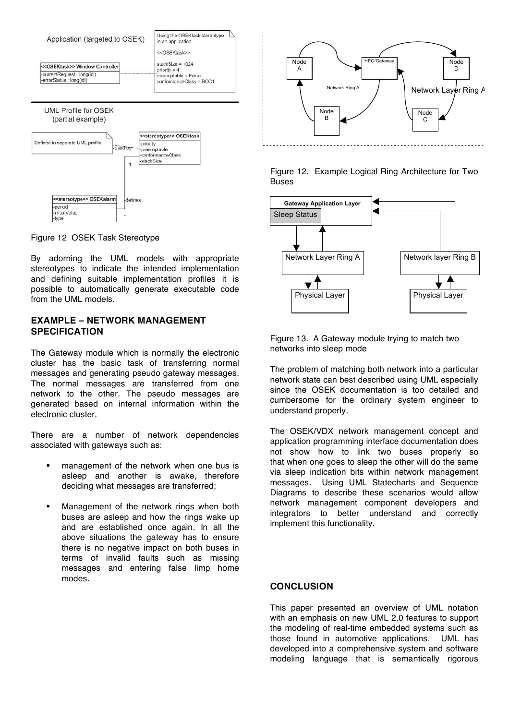

Figure 12 OSEK Task Stereotype

By adorning the UML models with appropriate stereotypes to indicate the intended implementation and defining suitable implementation profiles it is possible to automatically generate executable code from the UML models.

## **EXAMPLE – NETWORK MANAGEMENT SPECIFICATION**

The Gateway module which is normally the electronic cluster has the basic task of transferring normal messages and generating pseudo gateway messages. The normal messages are transferred from one network to the other. The pseudo messages are generated based on internal information within the electronic cluster.

There are a number of network dependencies associated with gateways such as:

- management of the network when one bus is asleep and another is awake, therefore deciding what messages are transferred;
- Management of the network rings when both buses are asleep and how the rings wake up and are established once again. In all the above situations the gateway has to ensure there is no negative impact on both buses in terms of invalid faults such as missing messages and entering false limp home modes.



Figure 12. Example Logical Ring Architecture for Two Buses



Figure 13. A Gateway module trying to match two networks into sleep mode

The problem of matching both network into a particular network state can best described using UML especially since the OSEK documentation is too detailed and cumbersome for the ordinary system engineer to understand properly.

The OSEK/VDX network management concept and application programming interface documentation does not show how to link two buses properly so that when one goes to sleep the other will do the same via sleep indication bits within network management messages. Using UML Statecharts and Sequence Diagrams to describe these scenarios would allow network management component developers and integrators to better understand and correctly implement this functionality.

## **CONCLUSION**

This paper presented an overview of UML notation with an emphasis on new UML 2.0 features to support the modeling of real-time embedded systems such as those found in automotive applications. UML has developed into a comprehensive system and software modeling language that is semantically rigorous